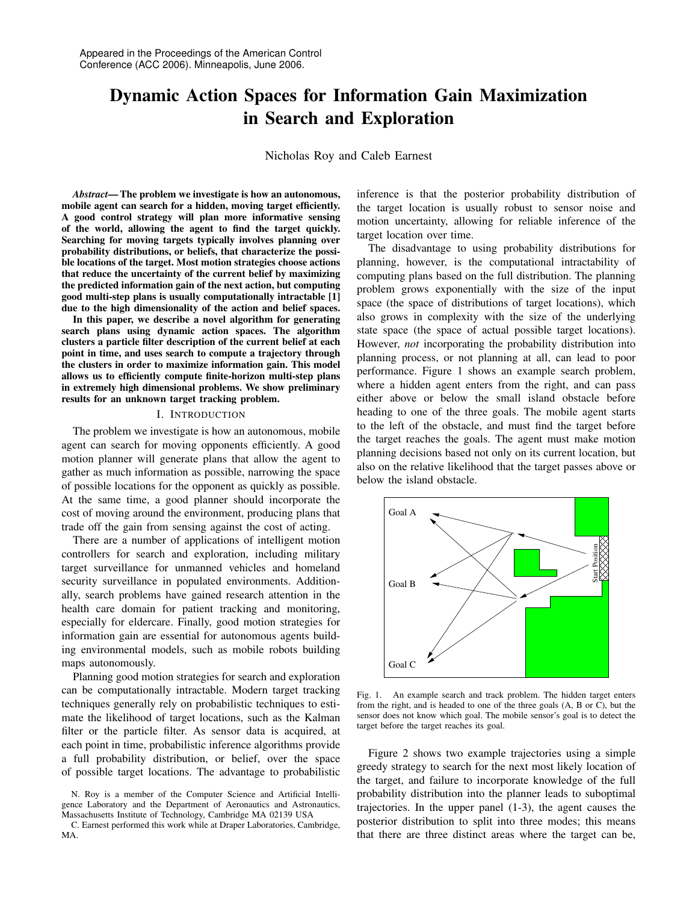# **Dynamic Action Spaces for Information Gain Maximization in Search and Exploration**

## Nicholas Roy and Caleb Earnest

*Abstract***—The problem we investigate is how an autonomous, mobile agent can search for a hidden, moving target efficiently. A good control strategy will plan more informative sensing of the world, allowing the agent to find the target quickly. Searching for moving targets typically involves planning over probability distributions, or beliefs, that characterize the possible locations of the target. Most motion strategies choose actions that reduce the uncertainty of the current belief by maximizing the predicted information gain of the next action, but computing good multi-step plans is usually computationally intractable [1] due to the high dimensionality of the action and belief spaces.**

**In this paper, we describe a novel algorithm for generating search plans using dynamic action spaces. The algorithm clusters a particle filter description of the current belief at each point in time, and uses search to compute a trajectory through the clusters in order to maximize information gain. This model allows us to efficiently compute finite-horizon multi-step plans in extremely high dimensional problems. We show preliminary results for an unknown target tracking problem.**

#### I. INTRODUCTION

The problem we investigate is how an autonomous, mobile agent can search for moving opponents efficiently. A good motion planner will generate plans that allow the agent to gather as much information as possible, narrowing the space of possible locations for the opponent as quickly as possible. At the same time, a good planner should incorporate the cost of moving around the environment, producing plans that trade off the gain from sensing against the cost of acting.

There are a number of applications of intelligent motion controllers for search and exploration, including military target surveillance for unmanned vehicles and homeland security surveillance in populated environments. Additionally, search problems have gained research attention in the health care domain for patient tracking and monitoring, especially for eldercare. Finally, good motion strategies for information gain are essential for autonomous agents building environmental models, such as mobile robots building maps autonomously.

Planning good motion strategies for search and exploration can be computationally intractable. Modern target tracking techniques generally rely on probabilistic techniques to estimate the likelihood of target locations, such as the Kalman filter or the particle filter. As sensor data is acquired, at each point in time, probabilistic inference algorithms provide a full probability distribution, or belief, over the space of possible target locations. The advantage to probabilistic

inference is that the posterior probability distribution of the target location is usually robust to sensor noise and motion uncertainty, allowing for reliable inference of the target location over time.

The disadvantage to using probability distributions for planning, however, is the computational intractability of computing plans based on the full distribution. The planning problem grows exponentially with the size of the input space (the space of distributions of target locations), which also grows in complexity with the size of the underlying state space (the space of actual possible target locations). However, *not* incorporating the probability distribution into planning process, or not planning at all, can lead to poor performance. Figure 1 shows an example search problem, where a hidden agent enters from the right, and can pass either above or below the small island obstacle before heading to one of the three goals. The mobile agent starts to the left of the obstacle, and must find the target before the target reaches the goals. The agent must make motion planning decisions based not only on its current location, but also on the relative likelihood that the target passes above or below the island obstacle.



Fig. 1. An example search and track problem. The hidden target enters from the right, and is headed to one of the three goals (A, B or C), but the sensor does not know which goal. The mobile sensor's goal is to detect the target before the target reaches its goal.

Figure 2 shows two example trajectories using a simple greedy strategy to search for the next most likely location of the target, and failure to incorporate knowledge of the full probability distribution into the planner leads to suboptimal trajectories. In the upper panel (1-3), the agent causes the posterior distribution to split into three modes; this means that there are three distinct areas where the target can be,

N. Roy is a member of the Computer Science and Artificial Intelligence Laboratory and the Department of Aeronautics and Astronautics, Massachusetts Institute of Technology, Cambridge MA 02139 USA

C. Earnest performed this work while at Draper Laboratories, Cambridge, MA.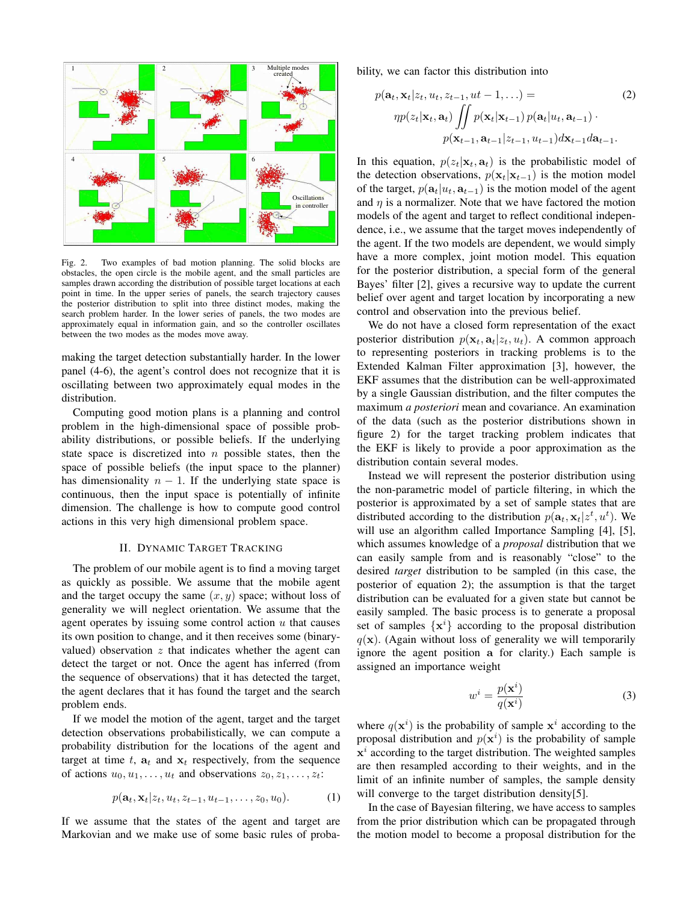

Fig. 2. Two examples of bad motion planning. The solid blocks are obstacles, the open circle is the mobile agent, and the small particles are samples drawn according the distribution of possible target locations at each point in time. In the upper series of panels, the search trajectory causes the posterior distribution to split into three distinct modes, making the search problem harder. In the lower series of panels, the two modes are approximately equal in information gain, and so the controller oscillates between the two modes as the modes move away.

making the target detection substantially harder. In the lower panel (4-6), the agent's control does not recognize that it is oscillating between two approximately equal modes in the distribution.

Computing good motion plans is a planning and control problem in the high-dimensional space of possible probability distributions, or possible beliefs. If the underlying state space is discretized into  $n$  possible states, then the space of possible beliefs (the input space to the planner) has dimensionality  $n - 1$ . If the underlying state space is continuous, then the input space is potentially of infinite dimension. The challenge is how to compute good control actions in this very high dimensional problem space.

## II. DYNAMIC TARGET TRACKING

The problem of our mobile agent is to find a moving target as quickly as possible. We assume that the mobile agent and the target occupy the same  $(x, y)$  space; without loss of generality we will neglect orientation. We assume that the agent operates by issuing some control action  $u$  that causes its own position to change, and it then receives some (binaryvalued) observation  $z$  that indicates whether the agent can detect the target or not. Once the agent has inferred (from the sequence of observations) that it has detected the target, the agent declares that it has found the target and the search problem ends.

If we model the motion of the agent, target and the target detection observations probabilistically, we can compute a probability distribution for the locations of the agent and target at time t,  $a_t$  and  $x_t$  respectively, from the sequence of actions  $u_0, u_1, \ldots, u_t$  and observations  $z_0, z_1, \ldots, z_t$ :

$$
p(\mathbf{a}_t, \mathbf{x}_t | z_t, u_t, z_{t-1}, u_{t-1}, \dots, z_0, u_0). \tag{1}
$$

If we assume that the states of the agent and target are Markovian and we make use of some basic rules of probability, we can factor this distribution into

$$
p(\mathbf{a}_t, \mathbf{x}_t | z_t, u_t, z_{t-1}, ut-1, \ldots) =
$$
  
\n
$$
\eta p(z_t | \mathbf{x}_t, \mathbf{a}_t) \iint p(\mathbf{x}_t | \mathbf{x}_{t-1}) p(\mathbf{a}_t | u_t, \mathbf{a}_{t-1}) \cdot
$$
  
\n
$$
p(\mathbf{x}_{t-1}, \mathbf{a}_{t-1} | z_{t-1}, u_{t-1}) d \mathbf{x}_{t-1} d \mathbf{a}_{t-1}.
$$
\n(2)

In this equation,  $p(z_t|\mathbf{x}_t, \mathbf{a}_t)$  is the probabilistic model of the detection observations,  $p(\mathbf{x}_t|\mathbf{x}_{t-1})$  is the motion model of the target,  $p(\mathbf{a}_t|u_t, \mathbf{a}_{t-1})$  is the motion model of the agent and  $\eta$  is a normalizer. Note that we have factored the motion models of the agent and target to reflect conditional independence, i.e., we assume that the target moves independently of the agent. If the two models are dependent, we would simply have a more complex, joint motion model. This equation for the posterior distribution, a special form of the general Bayes' filter [2], gives a recursive way to update the current belief over agent and target location by incorporating a new control and observation into the previous belief.

We do not have a closed form representation of the exact posterior distribution  $p(\mathbf{x}_t, \mathbf{a}_t | z_t, u_t)$ . A common approach to representing posteriors in tracking problems is to the Extended Kalman Filter approximation [3], however, the EKF assumes that the distribution can be well-approximated by a single Gaussian distribution, and the filter computes the maximum *a posteriori* mean and covariance. An examination of the data (such as the posterior distributions shown in figure 2) for the target tracking problem indicates that the EKF is likely to provide a poor approximation as the distribution contain several modes.

Instead we will represent the posterior distribution using the non-parametric model of particle filtering, in which the posterior is approximated by a set of sample states that are distributed according to the distribution  $p(\mathbf{a}_t, \mathbf{x}_t | z^t, u^t)$ . We will use an algorithm called Importance Sampling [4], [5], which assumes knowledge of a *proposal* distribution that we can easily sample from and is reasonably "close" to the desired *target* distribution to be sampled (in this case, the posterior of equation 2); the assumption is that the target distribution can be evaluated for a given state but cannot be easily sampled. The basic process is to generate a proposal set of samples  $\{x^i\}$  according to the proposal distribution  $q(\mathbf{x})$ . (Again without loss of generality we will temporarily ignore the agent position a for clarity.) Each sample is assigned an importance weight

$$
w^i = \frac{p(\mathbf{x}^i)}{q(\mathbf{x}^i)}
$$
(3)

where  $q(\mathbf{x}^i)$  is the probability of sample  $\mathbf{x}^i$  according to the proposal distribution and  $p(\mathbf{x}^i)$  is the probability of sample  $\mathbf{x}^i$  according to the target distribution. The weighted samples are then resampled according to their weights, and in the limit of an infinite number of samples, the sample density will converge to the target distribution density[5].

In the case of Bayesian filtering, we have access to samples from the prior distribution which can be propagated through the motion model to become a proposal distribution for the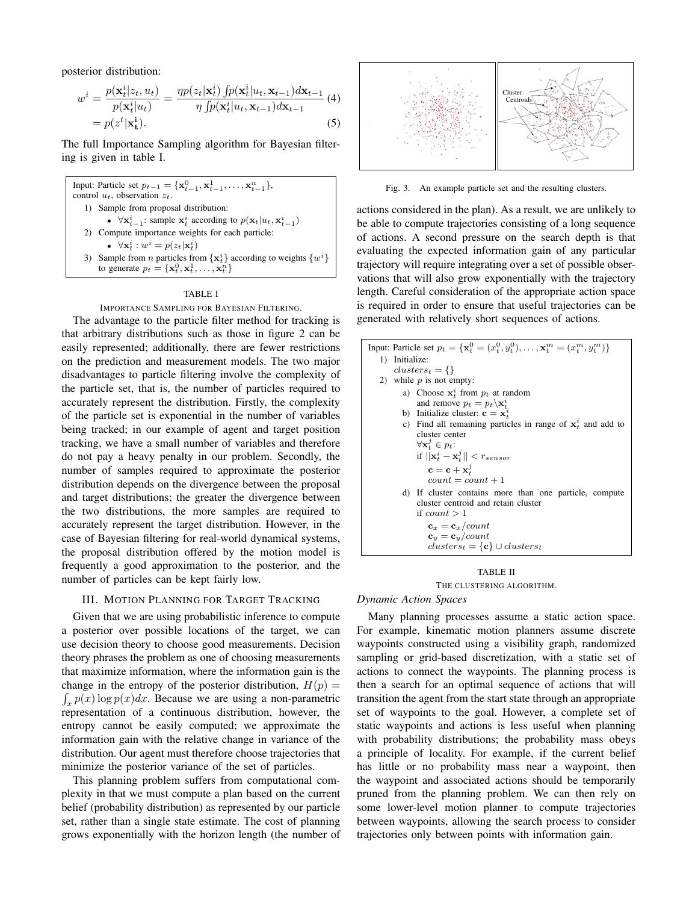posterior distribution:

$$
w^{i} = \frac{p(\mathbf{x}_{t}^{i}|z_{t}, u_{t})}{p(\mathbf{x}_{t}^{i}|u_{t})} = \frac{\eta p(z_{t}|\mathbf{x}_{t}^{i}) \int p(\mathbf{x}_{t}^{i}|u_{t}, \mathbf{x}_{t-1}) d\mathbf{x}_{t-1}}{\eta \int p(\mathbf{x}_{t}^{i}|u_{t}, \mathbf{x}_{t-1}) d\mathbf{x}_{t-1}} \tag{4}
$$

$$
= p(z^{t}|\mathbf{x}_{t}^{i}). \tag{5}
$$

The full Importance Sampling algorithm for Bayesian filtering is given in table I.

Input: Particle set 
$$
p_{t-1} = \{x_{t-1}^0, x_{t-1}^1, \ldots, x_{t-1}^n\}
$$
,  
control  $u_t$ , observation  $z_t$ .  
1) Sample from proposal distribution:  
•  $\forall x_{t-1}^i$ : sample  $x_t^i$  according to  $p(x_t|u_t, x_{t-1}^i)$   
2) Compute importance weights for each particle:  
•  $\forall x_t^i : w^i = p(z_t|x_t^i)$   
3) Sample from *n* particles from  $\{x_t^i\}$  according to weights  $\{w^i\}$   
to generate  $p_t = \{x_t^0, x_t^1, \ldots, x_t^n\}$ 

#### TABLE I

IMPORTANCE SAMPLING FOR BAYESIAN FILTERING.

The advantage to the particle filter method for tracking is that arbitrary distributions such as those in figure 2 can be easily represented; additionally, there are fewer restrictions on the prediction and measurement models. The two major disadvantages to particle filtering involve the complexity of the particle set, that is, the number of particles required to accurately represent the distribution. Firstly, the complexity of the particle set is exponential in the number of variables being tracked; in our example of agent and target position tracking, we have a small number of variables and therefore do not pay a heavy penalty in our problem. Secondly, the number of samples required to approximate the posterior distribution depends on the divergence between the proposal and target distributions; the greater the divergence between the two distributions, the more samples are required to accurately represent the target distribution. However, in the case of Bayesian filtering for real-world dynamical systems, the proposal distribution offered by the motion model is frequently a good approximation to the posterior, and the number of particles can be kept fairly low.

## III. MOTION PLANNING FOR TARGET TRACKING

Given that we are using probabilistic inference to compute a posterior over possible locations of the target, we can use decision theory to choose good measurements. Decision theory phrases the problem as one of choosing measurements that maximize information, where the information gain is the change in the entropy of the posterior distribution,  $H(p)$  =  $\int_x p(x) \log p(x) dx$ . Because we are using a non-parametric representation of a continuous distribution, however, the entropy cannot be easily computed; we approximate the information gain with the relative change in variance of the distribution. Our agent must therefore choose trajectories that minimize the posterior variance of the set of particles.

This planning problem suffers from computational complexity in that we must compute a plan based on the current belief (probability distribution) as represented by our particle set, rather than a single state estimate. The cost of planning grows exponentially with the horizon length (the number of



Fig. 3. An example particle set and the resulting clusters.

actions considered in the plan). As a result, we are unlikely to be able to compute trajectories consisting of a long sequence of actions. A second pressure on the search depth is that evaluating the expected information gain of any particular trajectory will require integrating over a set of possible observations that will also grow exponentially with the trajectory length. Careful consideration of the appropriate action space is required in order to ensure that useful trajectories can be generated with relatively short sequences of actions.

| Input: Particle set $p_t = {\mathbf{x}_t^0 = (x_t^0, y_t^0), \dots, \mathbf{x}_t^m = (x_t^m, y_t^m)}$ |  |                                                                |  |
|-------------------------------------------------------------------------------------------------------|--|----------------------------------------------------------------|--|
| 1) Initialize:                                                                                        |  |                                                                |  |
| $clusters_t = \{\}$                                                                                   |  |                                                                |  |
|                                                                                                       |  | 2) while $p$ is not empty:                                     |  |
|                                                                                                       |  | a) Choose $x_t^i$ from $p_t$ at random                         |  |
|                                                                                                       |  | and remove $p_t = p_t \backslash \mathbf{x}_t^i$               |  |
|                                                                                                       |  | b) Initialize cluster: $\mathbf{c} = \mathbf{x}_t^i$           |  |
|                                                                                                       |  | c) Find all remaining particles in range of $x_i^i$ and add to |  |
|                                                                                                       |  | cluster center                                                 |  |
|                                                                                                       |  | $\forall \mathbf{x}_t^j \in p_t$ :                             |  |
|                                                                                                       |  | if $  \mathbf{x}_t^i - \mathbf{x}_t^j   < r_{sensor}$          |  |
|                                                                                                       |  | $\mathbf{c} = \mathbf{c} + \mathbf{x}_t^j$                     |  |
|                                                                                                       |  | $count = count + 1$                                            |  |
|                                                                                                       |  | d) If cluster contains more than one particle, compute         |  |
|                                                                                                       |  | cluster centroid and retain cluster                            |  |
|                                                                                                       |  | if $count > 1$                                                 |  |
|                                                                                                       |  | $\mathbf{c}_x = \mathbf{c}_x/count$                            |  |
|                                                                                                       |  | $\mathbf{c}_y = \mathbf{c}_y/count$                            |  |
|                                                                                                       |  | $clusters_t = \{c\} \cup clusters_t$                           |  |

#### TABLE II

### THE CLUSTERING ALGORITHM.

#### *Dynamic Action Spaces*

Many planning processes assume a static action space. For example, kinematic motion planners assume discrete waypoints constructed using a visibility graph, randomized sampling or grid-based discretization, with a static set of actions to connect the waypoints. The planning process is then a search for an optimal sequence of actions that will transition the agent from the start state through an appropriate set of waypoints to the goal. However, a complete set of static waypoints and actions is less useful when planning with probability distributions; the probability mass obeys a principle of locality. For example, if the current belief has little or no probability mass near a waypoint, then the waypoint and associated actions should be temporarily pruned from the planning problem. We can then rely on some lower-level motion planner to compute trajectories between waypoints, allowing the search process to consider trajectories only between points with information gain.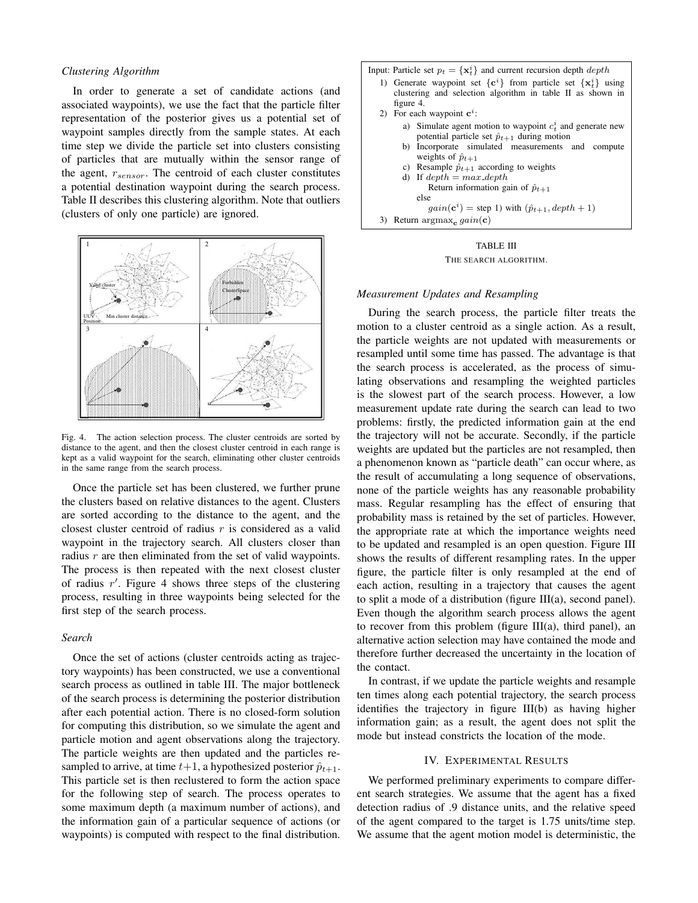#### *Clustering Algorithm*

In order to generate a set of candidate actions (and associated waypoints), we use the fact that the particle filter representation of the posterior gives us a potential set of waypoint samples directly from the sample states. At each time step we divide the particle set into clusters consisting of particles that are mutually within the sensor range of the agent,  $r_{sensor}$ . The centroid of each cluster constitutes a potential destination waypoint during the search process. Table II describes this clustering algorithm. Note that outliers (clusters of only one particle) are ignored.



Fig. 4. The action selection process. The cluster centroids are sorted by distance to the agent, and then the closest cluster centroid in each range is kept as a valid waypoint for the search, eliminating other cluster centroids in the same range from the search process.

Once the particle set has been clustered, we further prune the clusters based on relative distances to the agent. Clusters are sorted according to the distance to the agent, and the closest cluster centroid of radius  $r$  is considered as a valid waypoint in the trajectory search. All clusters closer than radius  $r$  are then eliminated from the set of valid waypoints. The process is then repeated with the next closest cluster of radius  $r'$ . Figure 4 shows three steps of the clustering process, resulting in three waypoints being selected for the first step of the search process.

## *Search*

Once the set of actions (cluster centroids acting as trajectory waypoints) has been constructed, we use a conventional search process as outlined in table III. The major bottleneck of the search process is determining the posterior distribution after each potential action. There is no closed-form solution for computing this distribution, so we simulate the agent and particle motion and agent observations along the trajectory. The particle weights are then updated and the particles resampled to arrive, at time  $t+1$ , a hypothesized posterior  $\hat{p}_{t+1}$ . This particle set is then reclustered to form the action space for the following step of search. The process operates to some maximum depth (a maximum number of actions), and the information gain of a particular sequence of actions (or waypoints) is computed with respect to the final distribution.



- 1) Generate waypoint set  $\{c^i\}$  from particle set  $\{x^i_t\}$  using clustering and selection algorithm in table II as shown in figure 4.
- 2) For each waypoint  $e^i$ :
	- a) Simulate agent motion to waypoint  $c_t^i$  and generate new potential particle set  $\hat{p}_{t+1}$  during motion
	- b) Incorporate simulated measurements and compute weights of  $\hat{p}_{t+1}$
	- c) Resample  $\hat{p}_{t+1}$  according to weights
	- d) If  $depth = max \ depth$ Return information gain of  $\hat{p}_{t+1}$

3) Return argmax<sub>c</sub>  $gain(c)$ 

else

$$
gain(\mathbf{c}^i) = \text{step 1}) \text{ with } (\hat{p}_{t+1}, depth + 1)
$$

## TABLE III THE SEARCH ALGORITHM.

## *Measurement Updates and Resampling*

During the search process, the particle filter treats the motion to a cluster centroid as a single action. As a result, the particle weights are not updated with measurements or resampled until some time has passed. The advantage is that the search process is accelerated, as the process of simulating observations and resampling the weighted particles is the slowest part of the search process. However, a low measurement update rate during the search can lead to two problems: firstly, the predicted information gain at the end the trajectory will not be accurate. Secondly, if the particle weights are updated but the particles are not resampled, then a phenomenon known as "particle death" can occur where, as the result of accumulating a long sequence of observations, none of the particle weights has any reasonable probability mass. Regular resampling has the effect of ensuring that probability mass is retained by the set of particles. However, the appropriate rate at which the importance weights need to be updated and resampled is an open question. Figure III shows the results of different resampling rates. In the upper figure, the particle filter is only resampled at the end of each action, resulting in a trajectory that causes the agent to split a mode of a distribution (figure III(a), second panel). Even though the algorithm search process allows the agent to recover from this problem (figure III(a), third panel), an alternative action selection may have contained the mode and therefore further decreased the uncertainty in the location of the contact.

In contrast, if we update the particle weights and resample ten times along each potential trajectory, the search process identifies the trajectory in figure III(b) as having higher information gain; as a result, the agent does not split the mode but instead constricts the location of the mode.

## IV. EXPERIMENTAL RESULTS

We performed preliminary experiments to compare different search strategies. We assume that the agent has a fixed detection radius of .9 distance units, and the relative speed of the agent compared to the target is 1.75 units/time step. We assume that the agent motion model is deterministic, the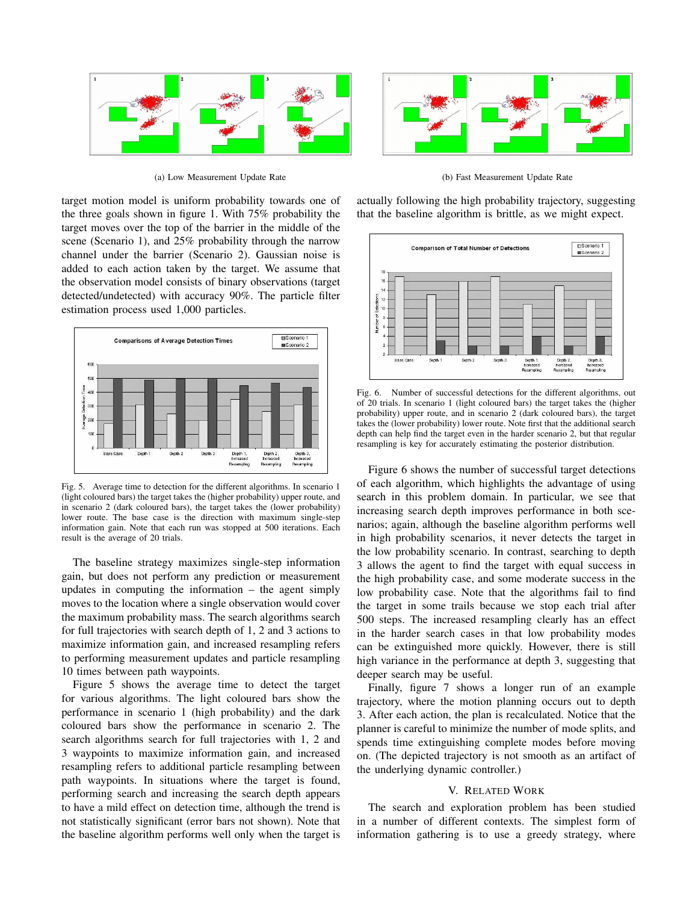

(a) Low Measurement Update Rate (b) Fast Measurement Update Rate

target motion model is uniform probability towards one of the three goals shown in figure 1. With 75% probability the target moves over the top of the barrier in the middle of the scene (Scenario 1), and 25% probability through the narrow channel under the barrier (Scenario 2). Gaussian noise is added to each action taken by the target. We assume that the observation model consists of binary observations (target detected/undetected) with accuracy 90%. The particle filter estimation process used 1,000 particles.



Fig. 5. Average time to detection for the different algorithms. In scenario 1 (light coloured bars) the target takes the (higher probability) upper route, and in scenario 2 (dark coloured bars), the target takes the (lower probability) lower route. The base case is the direction with maximum single-step information gain. Note that each run was stopped at 500 iterations. Each result is the average of 20 trials.

The baseline strategy maximizes single-step information gain, but does not perform any prediction or measurement updates in computing the information – the agent simply moves to the location where a single observation would cover the maximum probability mass. The search algorithms search for full trajectories with search depth of 1, 2 and 3 actions to maximize information gain, and increased resampling refers to performing measurement updates and particle resampling 10 times between path waypoints.

Figure 5 shows the average time to detect the target for various algorithms. The light coloured bars show the performance in scenario 1 (high probability) and the dark coloured bars show the performance in scenario 2. The search algorithms search for full trajectories with 1, 2 and 3 waypoints to maximize information gain, and increased resampling refers to additional particle resampling between path waypoints. In situations where the target is found, performing search and increasing the search depth appears to have a mild effect on detection time, although the trend is not statistically significant (error bars not shown). Note that the baseline algorithm performs well only when the target is



actually following the high probability trajectory, suggesting that the baseline algorithm is brittle, as we might expect.



Fig. 6. Number of successful detections for the different algorithms, out of 20 trials. In scenario 1 (light coloured bars) the target takes the (higher probability) upper route, and in scenario 2 (dark coloured bars), the target takes the (lower probability) lower route. Note first that the additional search depth can help find the target even in the harder scenario 2, but that regular resampling is key for accurately estimating the posterior distribution.

Figure 6 shows the number of successful target detections of each algorithm, which highlights the advantage of using search in this problem domain. In particular, we see that increasing search depth improves performance in both scenarios; again, although the baseline algorithm performs well in high probability scenarios, it never detects the target in the low probability scenario. In contrast, searching to depth 3 allows the agent to find the target with equal success in the high probability case, and some moderate success in the low probability case. Note that the algorithms fail to find the target in some trails because we stop each trial after 500 steps. The increased resampling clearly has an effect in the harder search cases in that low probability modes can be extinguished more quickly. However, there is still high variance in the performance at depth 3, suggesting that deeper search may be useful.

Finally, figure 7 shows a longer run of an example trajectory, where the motion planning occurs out to depth 3. After each action, the plan is recalculated. Notice that the planner is careful to minimize the number of mode splits, and spends time extinguishing complete modes before moving on. (The depicted trajectory is not smooth as an artifact of the underlying dynamic controller.)

## V. RELATED WORK

The search and exploration problem has been studied in a number of different contexts. The simplest form of information gathering is to use a greedy strategy, where